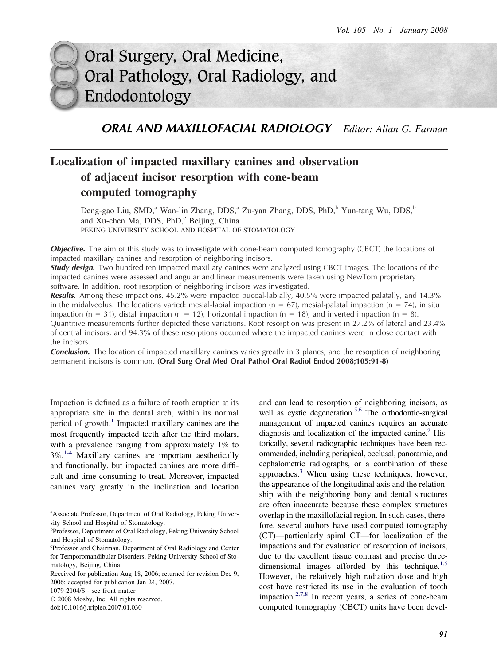# Oral Surgery, Oral Medicine, Oral Pathology, Oral Radiology, and Endodontology

*ORAL AND MAXILLOFACIAL RADIOLOGY Editor: Allan G. Farman*

# **Localization of impacted maxillary canines and observation of adjacent incisor resorption with cone-beam computed tomography**

Deng-gao Liu, SMD,<sup>a</sup> Wan-lin Zhang, DDS,<sup>a</sup> Zu-yan Zhang, DDS, PhD,<sup>b</sup> Yun-tang Wu, DDS,<sup>b</sup> and Xu-chen Ma, DDS, PhD,<sup>c</sup> Beijing, China PEKING UNIVERSITY SCHOOL AND HOSPITAL OF STOMATOLOGY

**Objective.** The aim of this study was to investigate with cone-beam computed tomography (CBCT) the locations of impacted maxillary canines and resorption of neighboring incisors.

*Study design.* Two hundred ten impacted maxillary canines were analyzed using CBCT images. The locations of the impacted canines were assessed and angular and linear measurements were taken using NewTom proprietary software. In addition, root resorption of neighboring incisors was investigated.

*Results.* Among these impactions, 45.2% were impacted buccal-labially, 40.5% were impacted palatally, and 14.3% in the midalveolus. The locations varied: mesial-labial impaction (n = 67), mesial-palatal impaction (n = 74), in situ impaction (n = 31), distal impaction (n = 12), horizontal impaction (n = 18), and inverted impaction (n = 8). Quantitive measurements further depicted these variations. Root resorption was present in 27.2% of lateral and 23.4% of central incisors, and 94.3% of these resorptions occurred where the impacted canines were in close contact with the incisors.

*Conclusion.* The location of impacted maxillary canines varies greatly in 3 planes, and the resorption of neighboring permanent incisors is common. **(Oral Surg Oral Med Oral Pathol Oral Radiol Endod 2008;105:91-8)**

Impaction is defined as a failure of tooth eruption at its appropriate site in the dental arch, within its normal period of growth.<sup>[1](#page-6-0)</sup> Impacted maxillary canines are the most frequently impacted teeth after the third molars, with a prevalence ranging from approximately 1% to 3%.[1-4](#page-6-0) Maxillary canines are important aesthetically and functionally, but impacted canines are more difficult and time consuming to treat. Moreover, impacted canines vary greatly in the inclination and location

1079-2104/\$ - see front matter

© 2008 Mosby, Inc. All rights reserved.

doi:10.1016/j.tripleo.2007.01.030

and can lead to resorption of neighboring incisors, as well as cystic degeneration.<sup>5,6</sup> The orthodontic-surgical management of impacted canines requires an accurate diagnosis and localization of the impacted canine. $<sup>2</sup>$  His-</sup> torically, several radiographic techniques have been recommended, including periapical, occlusal, panoramic, and cephalometric radiographs, or a combination of these approaches.<sup>[3](#page-6-0)</sup> When using these techniques, however, the appearance of the longitudinal axis and the relationship with the neighboring bony and dental structures are often inaccurate because these complex structures overlap in the maxillofacial region. In such cases, therefore, several authors have used computed tomography (CT)—particularly spiral CT—for localization of the impactions and for evaluation of resorption of incisors, due to the excellent tissue contrast and precise three-dimensional images afforded by this technique.<sup>[1,5](#page-6-0)</sup> However, the relatively high radiation dose and high cost have restricted its use in the evaluation of tooth impaction. $2,7,8$  In recent years, a series of cone-beam computed tomography (CBCT) units have been devel-

<sup>&</sup>lt;sup>a</sup> Associate Professor, Department of Oral Radiology, Peking University School and Hospital of Stomatology.

<sup>&</sup>lt;sup>b</sup>Professor, Department of Oral Radiology, Peking University School and Hospital of Stomatology.

c Professor and Chairman, Department of Oral Radiology and Center for Temporomandibular Disorders, Peking University School of Stomatology, Beijing, China.

Received for publication Aug 18, 2006; returned for revision Dec 9, 2006; accepted for publication Jan 24, 2007.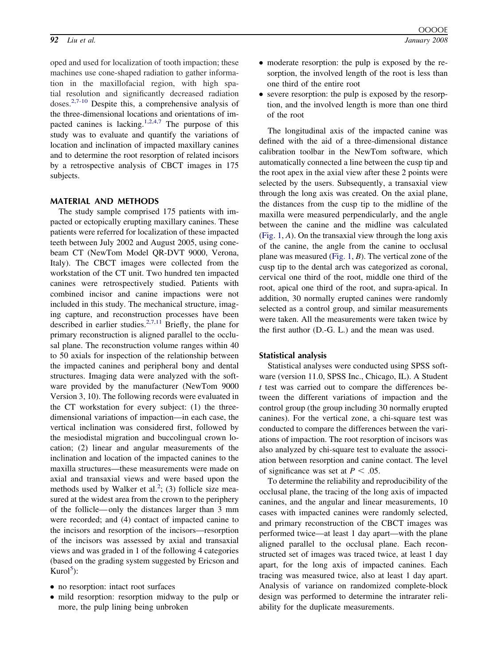oped and used for localization of tooth impaction; these machines use cone-shaped radiation to gather information in the maxillofacial region, with high spatial resolution and significantly decreased radiation doses. $2,7-10$  Despite this, a comprehensive analysis of the three-dimensional locations and orientations of im-pacted canines is lacking.<sup>[1,2,4,7](#page-6-0)</sup> The purpose of this study was to evaluate and quantify the variations of location and inclination of impacted maxillary canines and to determine the root resorption of related incisors by a retrospective analysis of CBCT images in 175 subjects.

#### **MATERIAL AND METHODS**

The study sample comprised 175 patients with impacted or ectopically erupting maxillary canines. These patients were referred for localization of these impacted teeth between July 2002 and August 2005, using conebeam CT (NewTom Model QR-DVT 9000, Verona, Italy). The CBCT images were collected from the workstation of the CT unit. Two hundred ten impacted canines were retrospectively studied. Patients with combined incisor and canine impactions were not included in this study. The mechanical structure, imaging capture, and reconstruction processes have been described in earlier studies.<sup>[2,7,11](#page-6-0)</sup> Briefly, the plane for primary reconstruction is aligned parallel to the occlusal plane. The reconstruction volume ranges within 40 to 50 axials for inspection of the relationship between the impacted canines and peripheral bony and dental structures. Imaging data were analyzed with the software provided by the manufacturer (NewTom 9000 Version 3, 10). The following records were evaluated in the CT workstation for every subject: (1) the threedimensional variations of impaction—in each case, the vertical inclination was considered first, followed by the mesiodistal migration and buccolingual crown location; (2) linear and angular measurements of the inclination and location of the impacted canines to the maxilla structures—these measurements were made on axial and transaxial views and were based upon the methods used by Walker et al.<sup>[2](#page-6-0)</sup>; (3) follicle size measured at the widest area from the crown to the periphery of the follicle— only the distances larger than 3 mm were recorded; and (4) contact of impacted canine to the incisors and resorption of the incisors—resorption of the incisors was assessed by axial and transaxial views and was graded in 1 of the following 4 categories (based on the grading system suggested by Ericson and  $Kurol<sup>5</sup>)$  $Kurol<sup>5</sup>)$  $Kurol<sup>5</sup>)$ :

- no resorption: intact root surfaces
- mild resorption: resorption midway to the pulp or more, the pulp lining being unbroken
- moderate resorption: the pulp is exposed by the resorption, the involved length of the root is less than one third of the entire root
- severe resorption: the pulp is exposed by the resorption, and the involved length is more than one third of the root

The longitudinal axis of the impacted canine was defined with the aid of a three-dimensional distance calibration toolbar in the NewTom software, which automatically connected a line between the cusp tip and the root apex in the axial view after these 2 points were selected by the users. Subsequently, a transaxial view through the long axis was created. On the axial plane, the distances from the cusp tip to the midline of the maxilla were measured perpendicularly, and the angle between the canine and the midline was calculated [\(Fig. 1,](#page-2-0) *A*). On the transaxial view through the long axis of the canine, the angle from the canine to occlusal plane was measured [\(Fig. 1,](#page-2-0) *B*). The vertical zone of the cusp tip to the dental arch was categorized as coronal, cervical one third of the root, middle one third of the root, apical one third of the root, and supra-apical. In addition, 30 normally erupted canines were randomly selected as a control group, and similar measurements were taken. All the measurements were taken twice by the first author (D.-G. L.) and the mean was used.

#### **Statistical analysis**

Statistical analyses were conducted using SPSS software (version 11.0, SPSS Inc., Chicago, IL). A Student *t* test was carried out to compare the differences between the different variations of impaction and the control group (the group including 30 normally erupted canines). For the vertical zone, a chi-square test was conducted to compare the differences between the variations of impaction. The root resorption of incisors was also analyzed by chi-square test to evaluate the association between resorption and canine contact. The level of significance was set at  $P < .05$ .

To determine the reliability and reproducibility of the occlusal plane, the tracing of the long axis of impacted canines, and the angular and linear measurements, 10 cases with impacted canines were randomly selected, and primary reconstruction of the CBCT images was performed twice—at least 1 day apart—with the plane aligned parallel to the occlusal plane. Each reconstructed set of images was traced twice, at least 1 day apart, for the long axis of impacted canines. Each tracing was measured twice, also at least 1 day apart. Analysis of variance on randomized complete-block design was performed to determine the intrarater reliability for the duplicate measurements.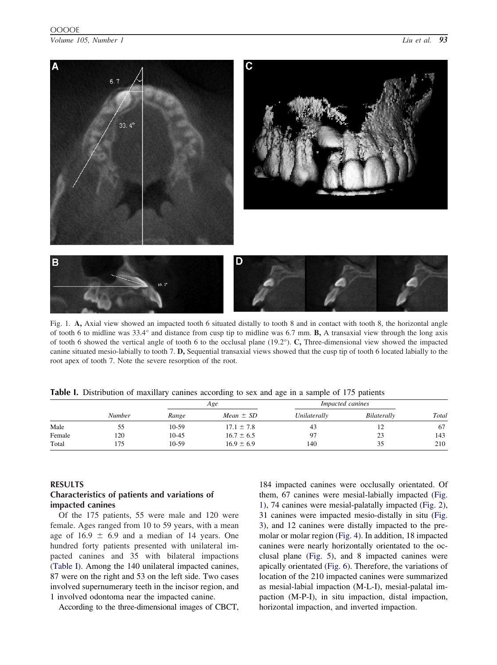### <span id="page-2-0"></span>OOOOE

*Volume 105, Number 1 Liu et al. 93*



Fig. 1. **A,** Axial view showed an impacted tooth 6 situated distally to tooth 8 and in contact with tooth 8, the horizontal angle of tooth 6 to midline was 33.4° and distance from cusp tip to midline was 6.7 mm. **B,** A transaxial view through the long axis of tooth 6 showed the vertical angle of tooth 6 to the occlusal plane (19.2°). **C,** Three-dimensional view showed the impacted canine situated mesio-labially to tooth 7. **D,** Sequential transaxial views showed that the cusp tip of tooth 6 located labially to the root apex of tooth 7. Note the severe resorption of the root.

|  | Table I. Distribution of maxillary canines according to sex and age in a sample of 175 patients |  |  |  |  |  |  |  |  |  |  |  |  |  |  |
|--|-------------------------------------------------------------------------------------------------|--|--|--|--|--|--|--|--|--|--|--|--|--|--|
|--|-------------------------------------------------------------------------------------------------|--|--|--|--|--|--|--|--|--|--|--|--|--|--|

|        |        |           | Age            | <i>Impacted canines</i> |             |       |
|--------|--------|-----------|----------------|-------------------------|-------------|-------|
|        | Number | Range     | Mean $\pm$ SD  | Unilaterally            | Bilaterally | Total |
| Male   | ככ     | 10-59     | $17.1 \pm 7.8$ | 43                      | 12          | 67    |
| Female | 120    | $10 - 45$ | $16.7 \pm 6.5$ | 97                      | 23          | 143   |
| Total  | 75     | $10-59$   | $16.9 \pm 6.9$ | 140                     | 35          | 210   |

#### **RESULTS**

## **Characteristics of patients and variations of impacted canines**

Of the 175 patients, 55 were male and 120 were female. Ages ranged from 10 to 59 years, with a mean age of  $16.9 \pm 6.9$  and a median of 14 years. One hundred forty patients presented with unilateral impacted canines and 35 with bilateral impactions (Table I). Among the 140 unilateral impacted canines, 87 were on the right and 53 on the left side. Two cases involved supernumerary teeth in the incisor region, and 1 involved odontoma near the impacted canine.

According to the three-dimensional images of CBCT,

184 impacted canines were occlusally orientated. Of them, 67 canines were mesial-labially impacted (Fig. 1), 74 canines were mesial-palatally impacted [\(Fig. 2\)](#page-3-0), 31 canines were impacted mesio-distally in situ [\(Fig.](#page-3-0) [3\)](#page-3-0), and 12 canines were distally impacted to the premolar or molar region [\(Fig. 4\)](#page-3-0). In addition, 18 impacted canines were nearly horizontally orientated to the occlusal plane [\(Fig. 5\)](#page-4-0), and 8 impacted canines were apically orientated [\(Fig. 6\)](#page-4-0). Therefore, the variations of location of the 210 impacted canines were summarized as mesial-labial impaction (M-L-I), mesial-palatal impaction (M-P-I), in situ impaction, distal impaction, horizontal impaction, and inverted impaction.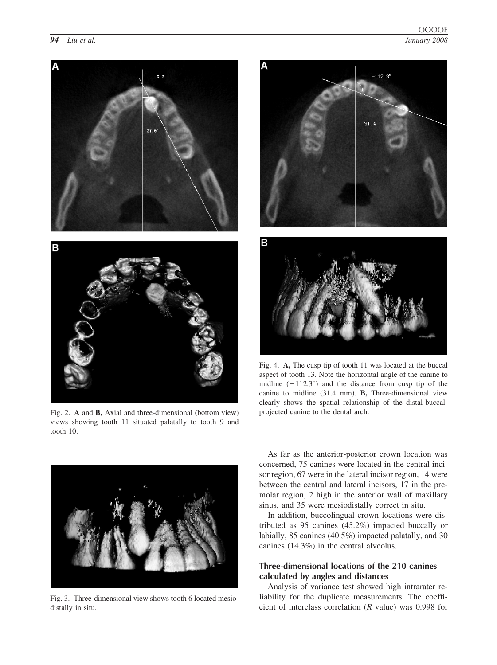<span id="page-3-0"></span>*94 Liu et al. January 2008*

OOOOE



Fig. 2. **A** and **B,** Axial and three-dimensional (bottom view) views showing tooth 11 situated palatally to tooth 9 and tooth 10.





Fig. 4. **A,** The cusp tip of tooth 11 was located at the buccal aspect of tooth 13. Note the horizontal angle of the canine to midline  $(-112.3°)$  and the distance from cusp tip of the canine to midline (31.4 mm). **B,** Three-dimensional view clearly shows the spatial relationship of the distal-buccalprojected canine to the dental arch.



Fig. 3. Three-dimensional view shows tooth 6 located mesiodistally in situ.

As far as the anterior-posterior crown location was concerned, 75 canines were located in the central incisor region, 67 were in the lateral incisor region, 14 were between the central and lateral incisors, 17 in the premolar region, 2 high in the anterior wall of maxillary sinus, and 35 were mesiodistally correct in situ.

In addition, buccolingual crown locations were distributed as 95 canines (45.2%) impacted buccally or labially, 85 canines (40.5%) impacted palatally, and 30 canines (14.3%) in the central alveolus.

# **Three-dimensional locations of the 210 canines calculated by angles and distances**

Analysis of variance test showed high intrarater reliability for the duplicate measurements. The coefficient of interclass correlation (*R* value) was 0.998 for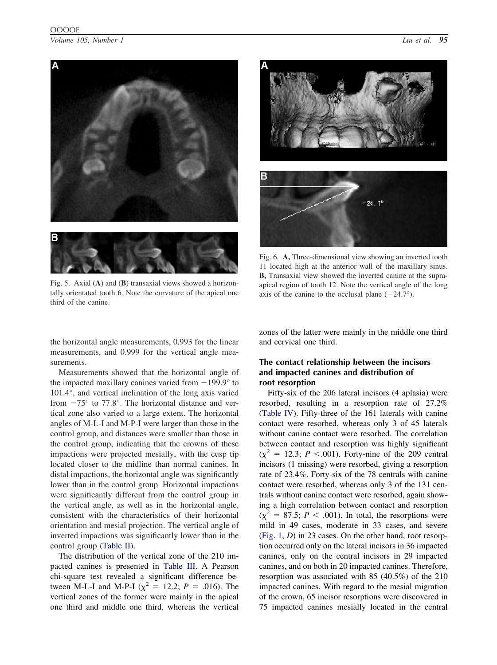# <span id="page-4-0"></span>OOOOE

*Volume 105, Number 1 Liu et al. 95*



Fig. 5. Axial (**A**) and (**B**) transaxial views showed a horizontally orientated tooth 6. Note the curvature of the apical one third of the canine.



Fig. 6. **A,** Three-dimensional view showing an inverted tooth 11 located high at the anterior wall of the maxillary sinus. **B,** Transaxial view showed the inverted canine at the supraapical region of tooth 12. Note the vertical angle of the long axis of the canine to the occlusal plane  $(-24.7^{\circ})$ .

the horizontal angle measurements, 0.993 for the linear measurements, and 0.999 for the vertical angle measurements.

Measurements showed that the horizontal angle of the impacted maxillary canines varied from  $-199.9^{\circ}$  to 101.4°, and vertical inclination of the long axis varied from  $-75^{\circ}$  to 77.8°. The horizontal distance and vertical zone also varied to a large extent. The horizontal angles of M-L-I and M-P-I were larger than those in the control group, and distances were smaller than those in the control group, indicating that the crowns of these impactions were projected mesially, with the cusp tip located closer to the midline than normal canines. In distal impactions, the horizontal angle was significantly lower than in the control group. Horizontal impactions were significantly different from the control group in the vertical angle, as well as in the horizontal angle, consistent with the characteristics of their horizontal orientation and mesial projection. The vertical angle of inverted impactions was significantly lower than in the control group [\(Table II\)](#page-5-0).

The distribution of the vertical zone of the 210 impacted canines is presented in [Table III.](#page-5-0) A Pearson chi-square test revealed a significant difference between M-L-I and M-P-I ( $\chi^2 = 12.2$ ; *P* = .016). The vertical zones of the former were mainly in the apical one third and middle one third, whereas the vertical

zones of the latter were mainly in the middle one third and cervical one third.

# **The contact relationship between the incisors and impacted canines and distribution of root resorption**

Fifty-six of the 206 lateral incisors (4 aplasia) were resorbed, resulting in a resorption rate of 27.2% [\(Table IV\)](#page-5-0). Fifty-three of the 161 laterals with canine contact were resorbed, whereas only 3 of 45 laterals without canine contact were resorbed. The correlation between contact and resorption was highly significant  $(\chi^2 = 12.3; P < .001)$ . Forty-nine of the 209 central incisors (1 missing) were resorbed, giving a resorption rate of 23.4%. Forty-six of the 78 centrals with canine contact were resorbed, whereas only 3 of the 131 centrals without canine contact were resorbed, again showing a high correlation between contact and resorption  $(\chi^2 = 87.5; P < .001)$ . In total, the resorptions were mild in 49 cases, moderate in 33 cases, and severe [\(Fig. 1,](#page-2-0) *D*) in 23 cases. On the other hand, root resorption occurred only on the lateral incisors in 36 impacted canines, only on the central incisors in 29 impacted canines, and on both in 20 impacted canines. Therefore, resorption was associated with 85 (40.5%) of the 210 impacted canines. With regard to the mesial migration of the crown, 65 incisor resorptions were discovered in 75 impacted canines mesially located in the central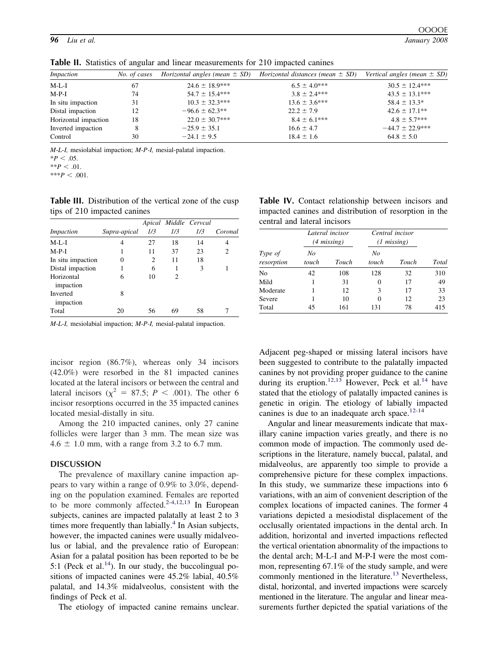| Impaction            | No. of cases | <i>Horizontal angles (mean</i> $\pm$ <i>SD)</i> | <i>Horizontal distances (mean</i> $\pm$ SD) | Vertical angles (mean $\pm$ SD) |
|----------------------|--------------|-------------------------------------------------|---------------------------------------------|---------------------------------|
| $M-L-I$              | 67           | $24.6 \pm 18.9$ ***                             | $6.5 \pm 4.0***$                            | $30.5 \pm 12.4***$              |
| $M-P-I$              | 74           | $54.7 \pm 15.4***$                              | $3.8 \pm 2.4***$                            | $43.5 \pm 13.1***$              |
| In situ impaction    | 31           | $10.3 \pm 32.3***$                              | $13.6 \pm 3.6***$                           | $58.4 \pm 13.3*$                |
| Distal impaction     | 12           | $-96.6 \pm 62.3$ **                             | $22.2 \pm 7.9$                              | $42.6 \pm 17.1$ **              |
| Horizontal impaction | 18           | $22.0 \pm 30.7***$                              | $8.4 \pm 6.1***$                            | $4.8 \pm 5.7***$                |
| Inverted impaction   | 8            | $-25.9 \pm 35.1$                                | $16.6 \pm 4.7$                              | $-44.7 \pm 22.9$ ***            |
| Control              | 30           | $-24.1 \pm 9.5$                                 | $18.4 \pm 1.6$                              | $64.8 \pm 5.0$                  |

<span id="page-5-0"></span>**Table II.** Statistics of angular and linear measurements for 210 impacted canines

*M-L-I,* mesiolabial impaction; *M-P-I,* mesial-palatal impaction.

 $**P < .01$ .

 $***P<.001$ .

**Table III.** Distribution of the vertical zone of the cusp tips of 210 impacted canines

|                         |              |     |     | Apical Middle Cervcal |         |
|-------------------------|--------------|-----|-----|-----------------------|---------|
| <i>Impaction</i>        | Supra-apical | 1/3 | 1/3 | 1/3                   | Coronal |
| $M-L-I$                 | 4            | 27  | 18  | 14                    | 4       |
| $M-P-I$                 | 1            | 11  | 37  | 23                    | 2       |
| In situ impaction       | 0            | 2   | 11  | 18                    |         |
| Distal impaction        | 1            | 6   | 1   | 3                     |         |
| Horizontal<br>impaction | 6            | 10  | 2   |                       |         |
| Inverted<br>impaction   | 8            |     |     |                       |         |
| Total                   | 20           | 56  |     | 58                    |         |

*M-L-I,* mesiolabial impaction; *M-P-I,* mesial-palatal impaction.

incisor region (86.7%), whereas only 34 incisors (42.0%) were resorbed in the 81 impacted canines located at the lateral incisors or between the central and lateral incisors ( $\chi^2 = 87.5$ ; *P* < .001). The other 6 incisor resorptions occurred in the 35 impacted canines located mesial-distally in situ.

Among the 210 impacted canines, only 27 canine follicles were larger than 3 mm. The mean size was  $4.6 \pm 1.0$  mm, with a range from 3.2 to 6.7 mm.

#### **DISCUSSION**

The prevalence of maxillary canine impaction appears to vary within a range of 0.9% to 3.0%, depending on the population examined. Females are reported to be more commonly affected.<sup>[2-4,12,13](#page-6-0)</sup> In European subjects, canines are impacted palatally at least 2 to 3 times more frequently than labially. $4$  In Asian subjects, however, the impacted canines were usually midalveolus or labial, and the prevalence ratio of European: Asian for a palatal position has been reported to be be 5:1 (Peck et al.<sup>14</sup>). In our study, the buccolingual positions of impacted canines were 45.2% labial, 40.5% palatal, and 14.3% midalveolus, consistent with the findings of Peck et al.

The etiology of impacted canine remains unclear.

**Table IV.** Contact relationship between incisors and impacted canines and distribution of resorption in the central and lateral incisors

|                       |             | Lateral incisor<br>$(4 \; missing)$ | Central incisor<br>$(1 \text{ missing})$ |       |       |  |
|-----------------------|-------------|-------------------------------------|------------------------------------------|-------|-------|--|
| Type of<br>resorption | No<br>touch | Touch                               | No<br>touch                              | Touch | Total |  |
| No                    | 42          | 108                                 | 128                                      | 32    | 310   |  |
| Mild                  |             | 31                                  | 0                                        | 17    | 49    |  |
| Moderate              |             | 12                                  | 3                                        | 17    | 33    |  |
| Severe                |             | 10                                  | 0                                        | 12    | 23    |  |
| Total                 | 45          | 161                                 | 131                                      | 78    | 415   |  |

Adjacent peg-shaped or missing lateral incisors have been suggested to contribute to the palatally impacted canines by not providing proper guidance to the canine during its eruption.<sup>[12,13](#page-7-0)</sup> However, Peck et al.<sup>[14](#page-7-0)</sup> have stated that the etiology of palatally impacted canines is genetic in origin. The etiology of labially impacted canines is due to an inadequate arch space. $12-14$ 

Angular and linear measurements indicate that maxillary canine impaction varies greatly, and there is no common mode of impaction. The commonly used descriptions in the literature, namely buccal, palatal, and midalveolus, are apparently too simple to provide a comprehensive picture for these complex impactions. In this study, we summarize these impactions into 6 variations, with an aim of convenient description of the complex locations of impacted canines. The former 4 variations depicted a mesiodistal displacement of the occlusally orientated impactions in the dental arch. In addition, horizontal and inverted impactions reflected the vertical orientation abnormality of the impactions to the dental arch; M-L-I and M-P-I were the most common, representing 67.1% of the study sample, and were commonly mentioned in the literature.<sup>[13](#page-7-0)</sup> Nevertheless, distal, horizontal, and inverted impactions were scarcely mentioned in the literature. The angular and linear measurements further depicted the spatial variations of the

 $*P < .05$ .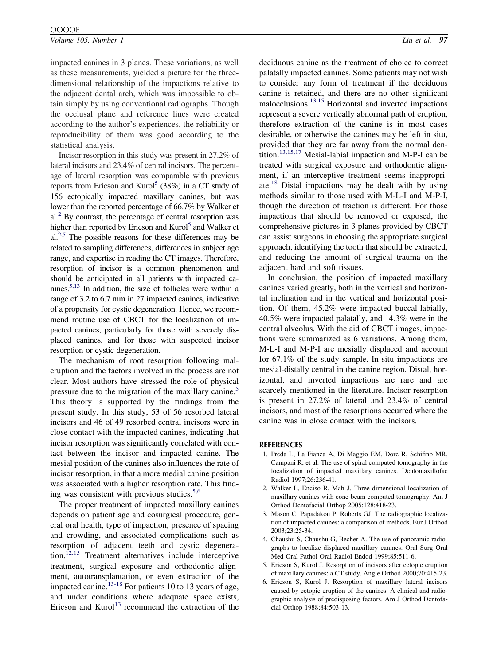<span id="page-6-0"></span>*Volume 105, Number 1 Liu et al. 97*

impacted canines in 3 planes. These variations, as well as these measurements, yielded a picture for the threedimensional relationship of the impactions relative to the adjacent dental arch, which was impossible to obtain simply by using conventional radiographs. Though the occlusal plane and reference lines were created according to the author's experiences, the reliability or reproducibility of them was good according to the statistical analysis.

Incisor resorption in this study was present in 27.2% of lateral incisors and 23.4% of central incisors. The percentage of lateral resorption was comparable with previous reports from Ericson and Kurol<sup>5</sup> (38%) in a CT study of 156 ectopically impacted maxillary canines, but was lower than the reported percentage of 66.7% by Walker et  $al<sup>2</sup>$  By contrast, the percentage of central resorption was higher than reported by Ericson and Kurol<sup>5</sup> and Walker et  $al.<sup>2,5</sup>$  The possible reasons for these differences may be related to sampling differences, differences in subject age range, and expertise in reading the CT images. Therefore, resorption of incisor is a common phenomenon and should be anticipated in all patients with impacted canines.<sup>5,13</sup> In addition, the size of follicles were within a range of 3.2 to 6.7 mm in 27 impacted canines, indicative of a propensity for cystic degeneration. Hence, we recommend routine use of CBCT for the localization of impacted canines, particularly for those with severely displaced canines, and for those with suspected incisor resorption or cystic degeneration.

The mechanism of root resorption following maleruption and the factors involved in the process are not clear. Most authors have stressed the role of physical pressure due to the migration of the maxillary canine.<sup>5</sup> This theory is supported by the findings from the present study. In this study, 53 of 56 resorbed lateral incisors and 46 of 49 resorbed central incisors were in close contact with the impacted canines, indicating that incisor resorption was significantly correlated with contact between the incisor and impacted canine. The mesial position of the canines also influences the rate of incisor resorption, in that a more medial canine position was associated with a higher resorption rate. This finding was consistent with previous studies. $5,6$ 

The proper treatment of impacted maxillary canines depends on patient age and cosurgical procedure, general oral health, type of impaction, presence of spacing and crowding, and associated complications such as resorption of adjacent teeth and cystic degeneration.<sup> $12,15$ </sup> Treatment alternatives include interceptive treatment, surgical exposure and orthodontic alignment, autotransplantation, or even extraction of the impacted canine.<sup>[15-18](#page-7-0)</sup> For patients 10 to 13 years of age, and under conditions where adequate space exists, Ericson and  $Kuro<sup>13</sup>$  $Kuro<sup>13</sup>$  $Kuro<sup>13</sup>$  recommend the extraction of the deciduous canine as the treatment of choice to correct palatally impacted canines. Some patients may not wish to consider any form of treatment if the deciduous canine is retained, and there are no other significant malocclusions.[13,15](#page-7-0) Horizontal and inverted impactions represent a severe vertically abnormal path of eruption, therefore extraction of the canine is in most cases desirable, or otherwise the canines may be left in situ, provided that they are far away from the normal dentition.[13,15,17](#page-7-0) Mesial-labial impaction and M-P-I can be treated with surgical exposure and orthodontic alignment, if an interceptive treatment seems inappropriate.[18](#page-7-0) Distal impactions may be dealt with by using methods similar to those used with M-L-I and M-P-I, though the direction of traction is different. For those impactions that should be removed or exposed, the comprehensive pictures in 3 planes provided by CBCT can assist surgeons in choosing the appropriate surgical approach, identifying the tooth that should be extracted, and reducing the amount of surgical trauma on the adjacent hard and soft tissues.

In conclusion, the position of impacted maxillary canines varied greatly, both in the vertical and horizontal inclination and in the vertical and horizontal position. Of them, 45.2% were impacted buccal-labially, 40.5% were impacted palatally, and 14.3% were in the central alveolus. With the aid of CBCT images, impactions were summarized as 6 variations. Among them, M-L-I and M-P-I are mesially displaced and account for 67.1% of the study sample. In situ impactions are mesial-distally central in the canine region. Distal, horizontal, and inverted impactions are rare and are scarcely mentioned in the literature. Incisor resorption is present in 27.2% of lateral and 23.4% of central incisors, and most of the resorptions occurred where the canine was in close contact with the incisors.

#### **REFERENCES**

- 1. Preda L, La Fianza A, Di Maggio EM, Dore R, Schifino MR, Campani R, et al. The use of spiral computed tomography in the localization of impacted maxillary canines. Dentomaxillofac Radiol 1997;26:236-41.
- 2. Walker L, Enciso R, Mah J. Three-dimensional localization of maxillary canines with cone-beam computed tomography. Am J Orthod Dentofacial Orthop 2005;128:418-23.
- 3. Mason C, Papadakou P, Roberts GJ. The radiographic localization of impacted canines: a comparison of methods. Eur J Orthod 2003;23:25-34.
- 4. Chaushu S, Chaushu G, Becher A. The use of panoramic radiographs to localize displaced maxillary canines. Oral Surg Oral Med Oral Pathol Oral Radiol Endod 1999;85:511-6.
- 5. Ericson S, Kurol J. Resorption of incisors after ectopic eruption of maxillary canines: a CT study. Angle Orthod 2000;70:415-23.
- 6. Ericson S, Kurol J. Resorption of maxillary lateral incisors caused by ectopic eruption of the canines. A clinical and radiographic analysis of predisposing factors. Am J Orthod Dentofacial Orthop 1988;84:503-13.